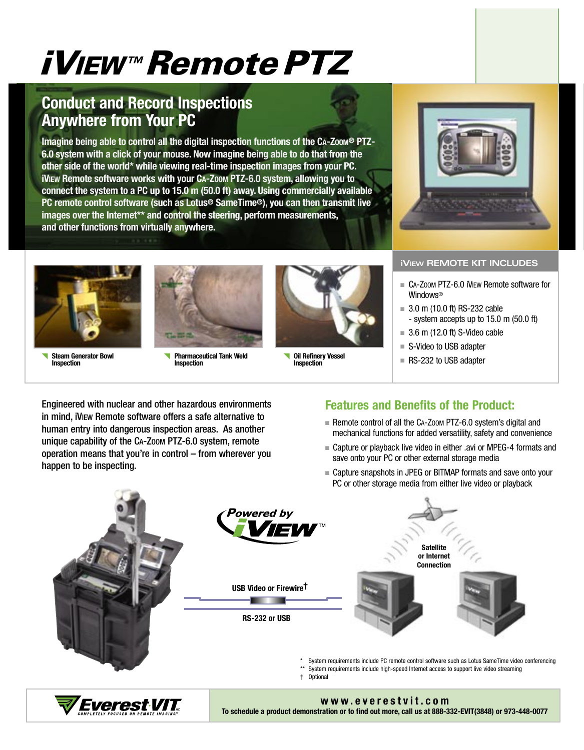# iVIEW™ Remote PTZ

# **Conduct and Record Inspections Anywhere from Your PC**

Imagine being able to control all the digital inspection functions of the CA-Zoom® PTZ-**6.0 system with a click of your mouse. Now imagine being able to do that from the other side of the world\* while viewing real-time inspection images from your PC. iVIEW** Remote software works with your CA-Zoom PTZ-6.0 system, allowing you to **connect the system to a PC up to 15.0 m (50.0 ft) away. Using commercially available PC remote control software (such as Lotus® SameTime®), you can then transmit live images over the Internet\*\* and control the steering, perform measurements, and other functions from virtually anywhere.** 



**Steam Generator Bowl Inspection**



**Pharmaceutical Tank Weld Inspection**



**Oil Refinery Vessel Inspection**



# **iVIEW REMOTE KIT INCLUDES**

- CA-Zoom PTZ-6.0 iVIEW Remote software for **Windows<sup>®</sup>**
- $= 3.0$  m (10.0 ft) RS-232 cable - system accepts up to 15.0 m (50.0 ft)
- $= 3.6$  m (12.0 ft) S-Video cable
- S-Video to USB adapter
- RS-232 to USB adapter

Engineered with nuclear and other hazardous environments in mind, iVIEW Remote software offers a safe alternative to human entry into dangerous inspection areas. As another unique capability of the CA-ZOOM PTZ-6.0 system, remote operation means that you're in control – from wherever you happen to be inspecting.

# **Features and Benefits of the Product:**

- Remote control of all the  $Ca-Zoom$  PTZ-6.0 system's digital and mechanical functions for added versatility, safety and convenience
- Capture or playback live video in either .avi or MPEG-4 formats and save onto your PC or other external storage media
- Capture snapshots in JPEG or BITMAP formats and save onto your PC or other storage media from either live video or playback



**To schedule a product demonstration or to find out more, call us at 888-332-EVIT(3848) or 973-448-0077**